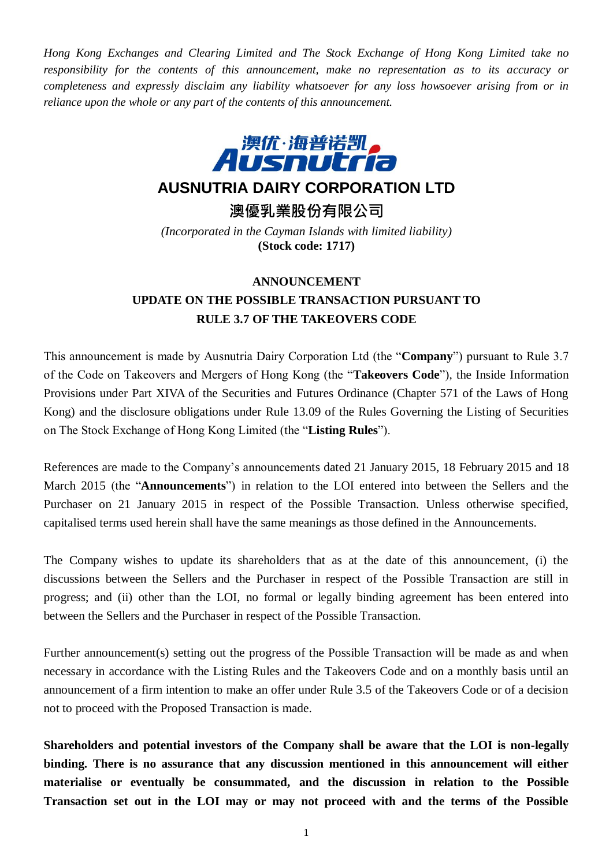*Hong Kong Exchanges and Clearing Limited and The Stock Exchange of Hong Kong Limited take no responsibility for the contents of this announcement, make no representation as to its accuracy or completeness and expressly disclaim any liability whatsoever for any loss howsoever arising from or in reliance upon the whole or any part of the contents of this announcement.*



## **AUSNUTRIA DAIRY CORPORATION LTD**

**澳優乳業股份有限公司**

*(Incorporated in the Cayman Islands with limited liability)* **(Stock code: 1717)**

## **ANNOUNCEMENT UPDATE ON THE POSSIBLE TRANSACTION PURSUANT TO RULE 3.7 OF THE TAKEOVERS CODE**

This announcement is made by Ausnutria Dairy Corporation Ltd (the "**Company**") pursuant to Rule 3.7 of the Code on Takeovers and Mergers of Hong Kong (the "**Takeovers Code**"), the Inside Information Provisions under Part XIVA of the Securities and Futures Ordinance (Chapter 571 of the Laws of Hong Kong) and the disclosure obligations under Rule 13.09 of the Rules Governing the Listing of Securities on The Stock Exchange of Hong Kong Limited (the "**Listing Rules**").

References are made to the Company's announcements dated 21 January 2015, 18 February 2015 and 18 March 2015 (the "**Announcements**") in relation to the LOI entered into between the Sellers and the Purchaser on 21 January 2015 in respect of the Possible Transaction. Unless otherwise specified, capitalised terms used herein shall have the same meanings as those defined in the Announcements.

The Company wishes to update its shareholders that as at the date of this announcement, (i) the discussions between the Sellers and the Purchaser in respect of the Possible Transaction are still in progress; and (ii) other than the LOI, no formal or legally binding agreement has been entered into between the Sellers and the Purchaser in respect of the Possible Transaction.

Further announcement(s) setting out the progress of the Possible Transaction will be made as and when necessary in accordance with the Listing Rules and the Takeovers Code and on a monthly basis until an announcement of a firm intention to make an offer under Rule 3.5 of the Takeovers Code or of a decision not to proceed with the Proposed Transaction is made.

**Shareholders and potential investors of the Company shall be aware that the LOI is non-legally binding. There is no assurance that any discussion mentioned in this announcement will either materialise or eventually be consummated, and the discussion in relation to the Possible Transaction set out in the LOI may or may not proceed with and the terms of the Possible**